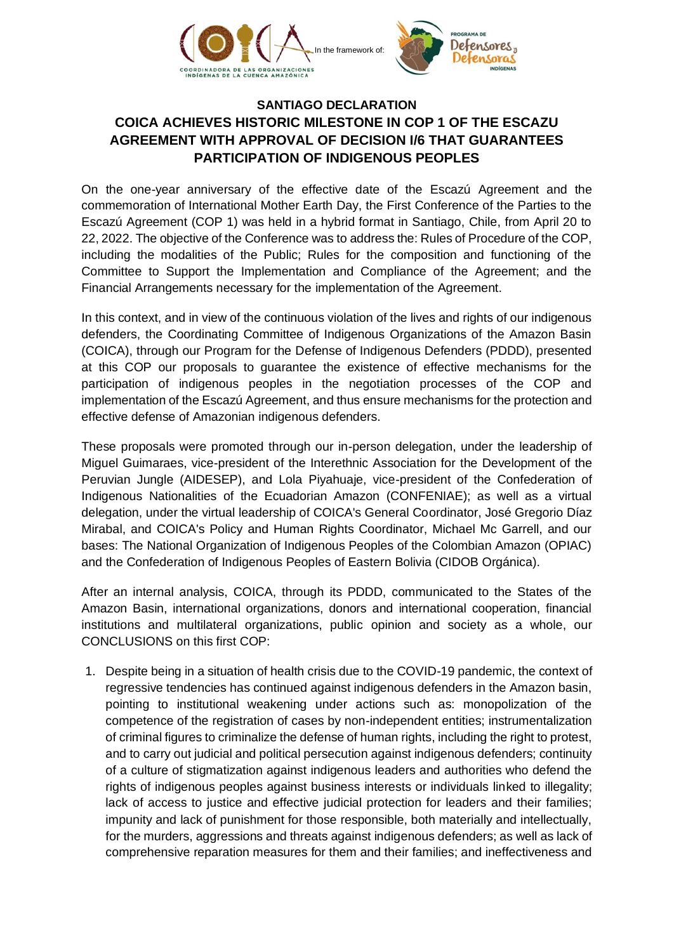

## **SANTIAGO DECLARATION COICA ACHIEVES HISTORIC MILESTONE IN COP 1 OF THE ESCAZU AGREEMENT WITH APPROVAL OF DECISION I/6 THAT GUARANTEES PARTICIPATION OF INDIGENOUS PEOPLES**

On the one-year anniversary of the effective date of the Escazú Agreement and the commemoration of International Mother Earth Day, the First Conference of the Parties to the Escazú Agreement (COP 1) was held in a hybrid format in Santiago, Chile, from April 20 to 22, 2022. The objective of the Conference was to address the: Rules of Procedure of the COP, including the modalities of the Public; Rules for the composition and functioning of the Committee to Support the Implementation and Compliance of the Agreement; and the Financial Arrangements necessary for the implementation of the Agreement.

In this context, and in view of the continuous violation of the lives and rights of our indigenous defenders, the Coordinating Committee of Indigenous Organizations of the Amazon Basin (COICA), through our Program for the Defense of Indigenous Defenders (PDDD), presented at this COP our proposals to guarantee the existence of effective mechanisms for the participation of indigenous peoples in the negotiation processes of the COP and implementation of the Escazú Agreement, and thus ensure mechanisms for the protection and effective defense of Amazonian indigenous defenders.

These proposals were promoted through our in-person delegation, under the leadership of Miguel Guimaraes, vice-president of the Interethnic Association for the Development of the Peruvian Jungle (AIDESEP), and Lola Piyahuaje, vice-president of the Confederation of Indigenous Nationalities of the Ecuadorian Amazon (CONFENIAE); as well as a virtual delegation, under the virtual leadership of COICA's General Coordinator, José Gregorio Díaz Mirabal, and COICA's Policy and Human Rights Coordinator, Michael Mc Garrell, and our bases: The National Organization of Indigenous Peoples of the Colombian Amazon (OPIAC) and the Confederation of Indigenous Peoples of Eastern Bolivia (CIDOB Orgánica).

After an internal analysis, COICA, through its PDDD, communicated to the States of the Amazon Basin, international organizations, donors and international cooperation, financial institutions and multilateral organizations, public opinion and society as a whole, our CONCLUSIONS on this first COP:

1. Despite being in a situation of health crisis due to the COVID-19 pandemic, the context of regressive tendencies has continued against indigenous defenders in the Amazon basin, pointing to institutional weakening under actions such as: monopolization of the competence of the registration of cases by non-independent entities; instrumentalization of criminal figures to criminalize the defense of human rights, including the right to protest, and to carry out judicial and political persecution against indigenous defenders; continuity of a culture of stigmatization against indigenous leaders and authorities who defend the rights of indigenous peoples against business interests or individuals linked to illegality; lack of access to justice and effective judicial protection for leaders and their families; impunity and lack of punishment for those responsible, both materially and intellectually, for the murders, aggressions and threats against indigenous defenders; as well as lack of comprehensive reparation measures for them and their families; and ineffectiveness and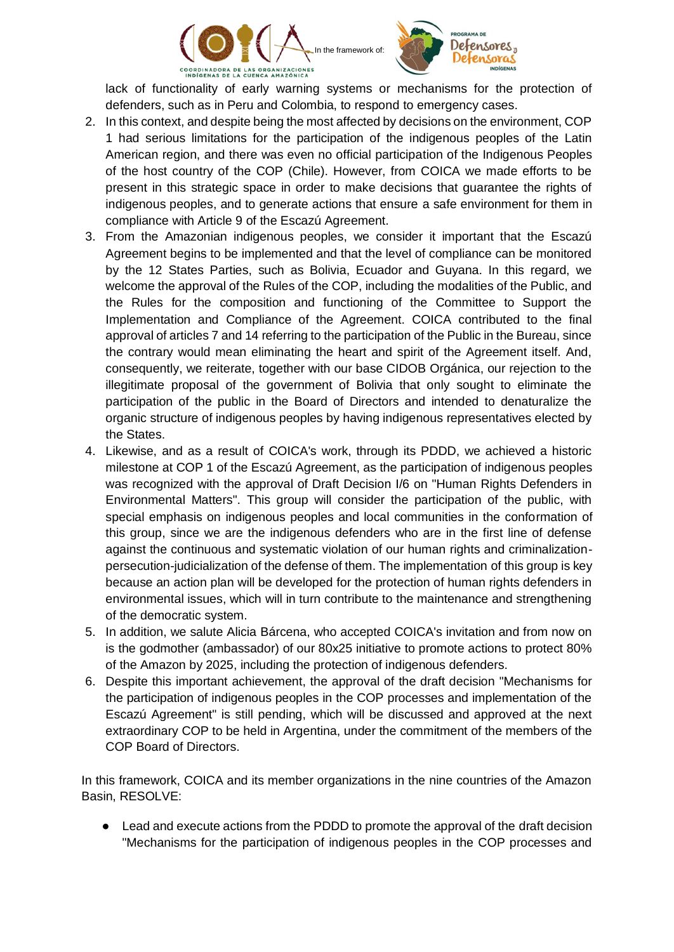

lack of functionality of early warning systems or mechanisms for the protection of defenders, such as in Peru and Colombia, to respond to emergency cases.

- 2. In this context, and despite being the most affected by decisions on the environment, COP 1 had serious limitations for the participation of the indigenous peoples of the Latin American region, and there was even no official participation of the Indigenous Peoples of the host country of the COP (Chile). However, from COICA we made efforts to be present in this strategic space in order to make decisions that guarantee the rights of indigenous peoples, and to generate actions that ensure a safe environment for them in compliance with Article 9 of the Escazú Agreement.
- 3. From the Amazonian indigenous peoples, we consider it important that the Escazú Agreement begins to be implemented and that the level of compliance can be monitored by the 12 States Parties, such as Bolivia, Ecuador and Guyana. In this regard, we welcome the approval of the Rules of the COP, including the modalities of the Public, and the Rules for the composition and functioning of the Committee to Support the Implementation and Compliance of the Agreement. COICA contributed to the final approval of articles 7 and 14 referring to the participation of the Public in the Bureau, since the contrary would mean eliminating the heart and spirit of the Agreement itself. And, consequently, we reiterate, together with our base CIDOB Orgánica, our rejection to the illegitimate proposal of the government of Bolivia that only sought to eliminate the participation of the public in the Board of Directors and intended to denaturalize the organic structure of indigenous peoples by having indigenous representatives elected by the States.
- 4. Likewise, and as a result of COICA's work, through its PDDD, we achieved a historic milestone at COP 1 of the Escazú Agreement, as the participation of indigenous peoples was recognized with the approval of Draft Decision I/6 on "Human Rights Defenders in Environmental Matters". This group will consider the participation of the public, with special emphasis on indigenous peoples and local communities in the conformation of this group, since we are the indigenous defenders who are in the first line of defense against the continuous and systematic violation of our human rights and criminalizationpersecution-judicialization of the defense of them. The implementation of this group is key because an action plan will be developed for the protection of human rights defenders in environmental issues, which will in turn contribute to the maintenance and strengthening of the democratic system.
- 5. In addition, we salute Alicia Bárcena, who accepted COICA's invitation and from now on is the godmother (ambassador) of our 80x25 initiative to promote actions to protect 80% of the Amazon by 2025, including the protection of indigenous defenders.
- 6. Despite this important achievement, the approval of the draft decision "Mechanisms for the participation of indigenous peoples in the COP processes and implementation of the Escazú Agreement" is still pending, which will be discussed and approved at the next extraordinary COP to be held in Argentina, under the commitment of the members of the COP Board of Directors.

In this framework, COICA and its member organizations in the nine countries of the Amazon Basin, RESOLVE:

• Lead and execute actions from the PDDD to promote the approval of the draft decision "Mechanisms for the participation of indigenous peoples in the COP processes and